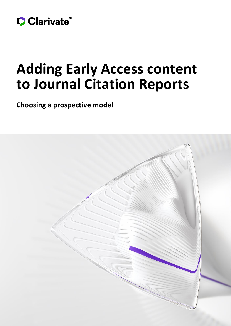

# **Adding Early Access content to Journal Citation Reports**

**Choosing a prospective model**

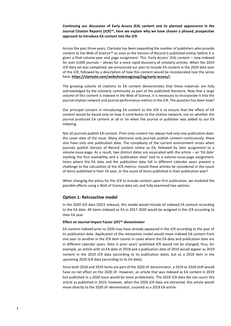**Continuing our discussion of Early Access (EA) content and its planned appearance in the Journal Citation Reports (JCR)™, here we explain why we have chosen a phased, prospective approach to introduce EA content into the JCR**.

Across the past three years, Clarivate has been expanding the number of publishers who provide content to the Web of Science™ as soon as the Version of Record is published online, before it is given a final volume-year and page assignment. This 'Early Access' (EA) content – now indexed for over 6,000 journals – allows for a more rapid discovery of scholarly articles. When the 2019 JCR data set was completed, we announced our plan to include EA content in the 2020 data year of the JCR, followed by a description of how this content would be incorporated (see the series here: **<https://clarivate.com/webofsciencegroup/tag/early-access/>**).

The growing volume of citations to EA content demonstrates that these materials are fully acknowledged by the scholarly community as part of the published literature. Now that a large volume of this content is indexed in the Web of Science, it is necessary to incorporate it into the journal citation network and journal performance metrics in the JCR. The question has been how?

Our principal concern in introducing EA content to the JCR is to ensure that the effect of EA content would be based only on how it contributes to the citation network, not on whether the journal produced EA content at all or on when the journal or publisher was added to our EA indexing.

Not all journals publish EA content. Print-only content has always had only one publication date: the cover date of the issue. Many electronic-only journals publish content continuously; these also have only one publication date. The complexity of the current environment arises when journals publish Version of Record content online as EA, followed by later assignment to a volume-issue-page. As a result, two distinct dates are associated with the article – an 'EA date' marking the first availability and a 'publication date' tied to a volume-issue-page assignment. Items where the EA date and the publication date fall in different calendar years present a challenge to the calculation of the JCR metrics: should these articles be considered in the count of items published in their EA year, or the count of items published in their publication year?

When changing the policy for the JCR to include content upon first publication, we modeled the possible effects using a Web of Science data set, and fully examined two options:

# **Option 1: Retroactive model**

In the 2020 JCR data (2021 release), this model would include all indexed EA content according to the EA date. All items indexed as EA in 2017-2020 would be assigned in the JCR according to their EA year.

# **Effect on Journal Impact Factor (JIF)™ denominator**

EA content indexed prior to 2020 may have already appeared in the JCR according to the year of its publication date. Application of the retroactive model would move indexed EA content from one year to another in the JCR item counts in cases where the EA data and publication date are in different calendar years. Data in prior years' published JCR would not be changed; thus, for example, an article with an EA date of 2018 and a publication date of 2019 would appear as 2019 content in the 2019 JCR data (according to its publication date), but as a 2018 item in the upcoming 2020 JCR data (according to its EA date).

Since both 2018 and 2019 items are part of the 2020 JIF denominator, a 2019 to 2018 shift would have no net effect on the 2020 JIF. However, an article that was indexed as EA content in 2019 but published in a 2020 issue would be more problematic. The 2019 JCR data did not count this article as published in 2019; however, when the 2020 JCR data are extracted, this article would move directly to the 2020 JIF denominator, counted as a 2019 EA article.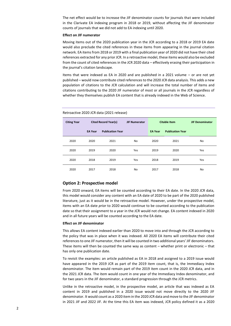The net effect would be to increase the JIF denominator counts for journals that were included in the Clarivate EA indexing program in 2018 or 2019, without affecting the JIF denominator counts of journals that we did not add to EA indexing until 2020.

## **Effect on JIF numerator**

Moving items out of the 2020 publication year in the JCR according to a 2018 or 2019 EA date would also preclude the cited references in these items from appearing in the journal citation network. EA items from 2018 or 2019 with a final publication year of 2020 did not have their cited references extracted for any prior JCR. In a retroactive model, these items would also be excluded from the count of cited references in the JCR 2020 data – effectively erasing their participation in the journal's citation landscape.

Items that were indexed as EA in 2020 and are published in a 2021 volume – or are not yet published – would now contribute cited references to the 2020 JCR data analysis. This adds a new population of citations to the JCR calculation and will increase the total number of items and citations contributing to the 2020 JIF numerator of most or all journals in the JCR regardless of whether they themselves publish EA content that is already indexed in the Web of Science.

| <b>Citing Year</b> | <b>Cited Record Year(s)</b> |                         | <b>JIF Numerator</b> | <b>Citable Item</b> |                         | <b>JIF Denominator</b> |
|--------------------|-----------------------------|-------------------------|----------------------|---------------------|-------------------------|------------------------|
|                    | <b>EA Year</b>              | <b>Publication Year</b> |                      | <b>EA Year</b>      | <b>Publication Year</b> |                        |
| 2020               | 2020                        | 2021                    | <b>No</b>            | 2020                | 2021                    | No                     |
| 2020               | 2019                        | 2020                    | Yes                  | 2019                | 2020                    | Yes                    |
| 2020               | 2018                        | 2019                    | Yes                  | 2018                | 2019                    | Yes                    |
| 2020               | 2017                        | 2018                    | No                   | 2017                | 2018                    | No                     |

#### Retroactive 2020 JCR data (2021 release)

# **Option 2: Prospective model**

From 2020 onward, EA items will be counted according to their EA date. In the 2020 JCR data, this model would consider any content with an EA date of 2020 to be part of the 2020 published literature, just as it would be in the retroactive model. However, under the prospective model, items with an EA date *prior* to 2020 would continue to be counted according to the publication date so that their assignment to a year in the JCR would not change. EA content indexed in 2020 and in all future years will be counted according to the EA date.

#### **Effect on JIF denominator**

This allows EA content indexed earlier than 2020 to move into and through the JCR according to the policy that was in place when it was indexed. All 2020 EA items will contribute their cited referencesto one JIF numerator, then it will be counted in two additional years' JIF denominators. These items will then be counted the same way as content – whether print or electronic – that has only one publication date.

To revisit the examples: an article published as EA in 2018 and assigned to a 2019 issue would have appeared in the 2019 JCR as part of the 2019 item count, that is, the Immediacy Index denominator. The item would remain part of the 2019 item count in the 2020 JCR data, and in the 2021 JCR data. The item would count in one year of the Immediacy Index denominator, and for two years in the JIF denominator, a standard progression through the JCR metrics.

Unlike in the retroactive model, in the prospective model, an article that was indexed as EA content in 2019 and published in a 2020 issue would not move directly to the 2020 JIF denominator. It would count as a 2020 item in the 2020 JCR data and move to the JIF denominator in 2021 JIF and 2022 JIF. At the time this EA item was indexed, JCR policy defined it as a 2020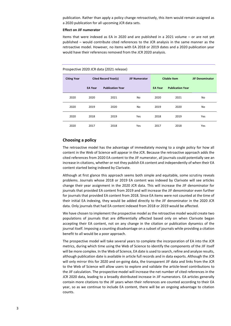publication. Rather than apply a policy change retroactively, this item would remain assigned as a 2020 publication for all upcoming JCR data sets.

#### **Effect on JIF numerator**

Items that were indexed as EA in 2020 and are published in a 2021 volume – or are not yet published – would contribute cited references to the JCR analysis in the same manner as the retroactive model. However, no items with EA 2018 or 2019 dates and a 2020 publication year would have their references removed from the JCR 2020 analysis.

#### Prospective 2020 JCR data (2021 release)

| <b>Citing Year</b> | <b>Cited Record Year(s)</b> |                         | <b>JIF Numerator</b> | <b>Citable Item</b> |                         | <b>JIF Denominator</b> |
|--------------------|-----------------------------|-------------------------|----------------------|---------------------|-------------------------|------------------------|
|                    | <b>EA Year</b>              | <b>Publication Year</b> |                      | <b>EA Year</b>      | <b>Publication Year</b> |                        |
| 2020               | 2020                        | 2021                    | No                   | 2020                | 2021                    | No                     |
| 2020               | 2019                        | 2020                    | No                   | 2019                | 2020                    | No                     |
| 2020               | 2018                        | 2019                    | Yes                  | 2018                | 2019                    | Yes                    |
| 2020               | 2017                        | 2018                    | Yes                  | 2017                | 2018                    | Yes                    |

# **Choosing a policy**

The retroactive model has the advantage of immediately moving to a single policy for how all content in the Web of Science will appear in the JCR. Because the retroactive approach adds the cited references from 2020 EA content to the JIF numerator, all journals could potentially see an increase in citations, whether or not they publish EA content and independently of when their EA content started being indexed by Clarivate.

Although at first glance this approach seems both simple and equitable, some scrutiny reveals problems. Journals whose 2018 or 2019 EA content was indexed by Clarivate will see articles change their year assignment in the 2020 JCR data. This will increase the JIF denominator for journals that provided EA content from 2019 and will increase the JIF denominator even further for journals that provided EA content from 2018. Since EA items were not counted at the time of their initial EA indexing, they would be added directly to the JIF denominator in the 2020 JCR data. Only journals that had EA content indexed from 2018 or 2019 would be affected.

We have chosen to implement the prospective model as the retroactive model would create two populations of journals that are differentially affected based only on when Clarivate began accepting their EA content, not on any change in the citation or publication dynamics of the journal itself. Imposing a counting disadvantage on a subset of journals while providing a citation benefit to all would be a poor approach.

The prospective model will take several years to complete the incorporation of EA into the JCR metrics, during which time using the Web of Science to identify the components of the JIF itself will be more complex. In the Web of Science, EA date is used to search, refine and analyze results, although publication date is available in article full records and in data exports. Although the JCR will only mirror this for 2020 and on-going data, the transparent JIF data and links from the JCR to the Web of Science will allow users to explore and validate the article-level contributions to the JIF calculation. The prospective model will increase the net number of cited references in the JCR 2020 data, leading to a broadly distributed increase in JIF numerators. EA articles generally contain more citations to the JIF years when their references are counted according to their EA year, so as we continue to include EA content, there will be an ongoing advantage to citation counts.